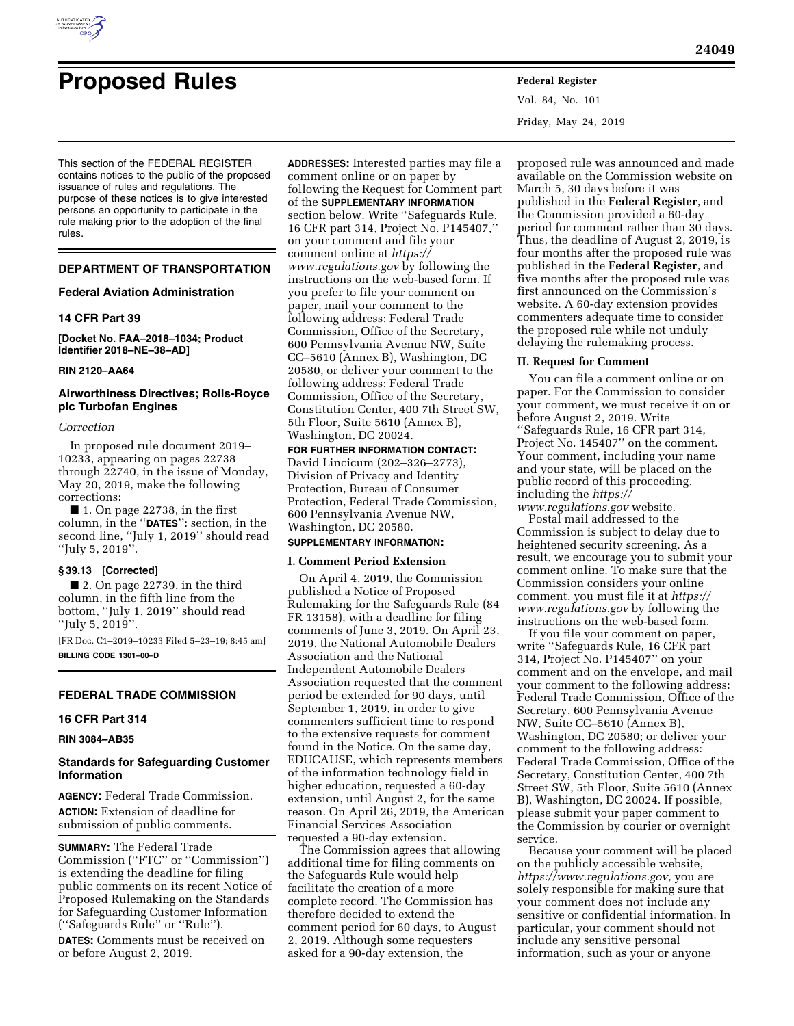

# **Proposed Rules Federal Register**

Vol. 84, No. 101 Friday, May 24, 2019

This section of the FEDERAL REGISTER contains notices to the public of the proposed issuance of rules and regulations. The purpose of these notices is to give interested persons an opportunity to participate in the rule making prior to the adoption of the final rules.

# **DEPARTMENT OF TRANSPORTATION**

#### **Federal Aviation Administration**

# **14 CFR Part 39**

**[Docket No. FAA–2018–1034; Product Identifier 2018–NE–38–AD]** 

#### **RIN 2120–AA64**

#### **Airworthiness Directives; Rolls-Royce plc Turbofan Engines**

#### *Correction*

In proposed rule document 2019– 10233, appearing on pages 22738 through 22740, in the issue of Monday, May 20, 2019, make the following corrections:

■ 1. On page 22738, in the first column, in the ''**DATES**'': section, in the second line, ''July 1, 2019'' should read ''July 5, 2019''.

#### **§ 39.13 [Corrected]**

■ 2. On page 22739, in the third column, in the fifth line from the bottom, ''July 1, 2019'' should read ''July 5, 2019''.

[FR Doc. C1–2019–10233 Filed 5–23–19; 8:45 am] **BILLING CODE 1301–00–D** 

# **FEDERAL TRADE COMMISSION**

## **16 CFR Part 314**

# **RIN 3084–AB35**

# **Standards for Safeguarding Customer Information**

**AGENCY:** Federal Trade Commission. **ACTION:** Extension of deadline for submission of public comments.

**SUMMARY:** The Federal Trade Commission (''FTC'' or ''Commission'') is extending the deadline for filing public comments on its recent Notice of Proposed Rulemaking on the Standards for Safeguarding Customer Information (''Safeguards Rule'' or ''Rule'').

**DATES:** Comments must be received on or before August 2, 2019.

**ADDRESSES:** Interested parties may file a comment online or on paper by following the Request for Comment part of the **SUPPLEMENTARY INFORMATION** section below. Write ''Safeguards Rule, 16 CFR part 314, Project No. P145407,'' on your comment and file your comment online at *[https://](https://www.regulations.gov) [www.regulations.gov](https://www.regulations.gov)* by following the instructions on the web-based form. If you prefer to file your comment on paper, mail your comment to the following address: Federal Trade Commission, Office of the Secretary, 600 Pennsylvania Avenue NW, Suite CC–5610 (Annex B), Washington, DC 20580, or deliver your comment to the following address: Federal Trade Commission, Office of the Secretary, Constitution Center, 400 7th Street SW, 5th Floor, Suite 5610 (Annex B), Washington, DC 20024.

**FOR FURTHER INFORMATION CONTACT:**  David Lincicum (202–326–2773), Division of Privacy and Identity Protection, Bureau of Consumer Protection, Federal Trade Commission, 600 Pennsylvania Avenue NW, Washington, DC 20580.

#### **SUPPLEMENTARY INFORMATION:**

#### **I. Comment Period Extension**

On April 4, 2019, the Commission published a Notice of Proposed Rulemaking for the Safeguards Rule (84 FR 13158), with a deadline for filing comments of June 3, 2019. On April 23, 2019, the National Automobile Dealers Association and the National Independent Automobile Dealers Association requested that the comment period be extended for 90 days, until September 1, 2019, in order to give commenters sufficient time to respond to the extensive requests for comment found in the Notice. On the same day, EDUCAUSE, which represents members of the information technology field in higher education, requested a 60-day extension, until August 2, for the same reason. On April 26, 2019, the American Financial Services Association requested a 90-day extension.

The Commission agrees that allowing additional time for filing comments on the Safeguards Rule would help facilitate the creation of a more complete record. The Commission has therefore decided to extend the comment period for 60 days, to August 2, 2019. Although some requesters asked for a 90-day extension, the

proposed rule was announced and made available on the Commission website on March 5, 30 days before it was published in the **Federal Register**, and the Commission provided a 60-day period for comment rather than 30 days. Thus, the deadline of August 2, 2019, is four months after the proposed rule was published in the **Federal Register**, and five months after the proposed rule was first announced on the Commission's website. A 60-day extension provides commenters adequate time to consider the proposed rule while not unduly delaying the rulemaking process.

### **II. Request for Comment**

You can file a comment online or on paper. For the Commission to consider your comment, we must receive it on or before August 2, 2019. Write ''Safeguards Rule, 16 CFR part 314, Project No. 145407'' on the comment. Your comment, including your name and your state, will be placed on the public record of this proceeding, including the *[https://](https://www.regulations.gov) [www.regulations.gov](https://www.regulations.gov)* website.

Postal mail addressed to the Commission is subject to delay due to heightened security screening. As a result, we encourage you to submit your comment online. To make sure that the Commission considers your online comment, you must file it at *[https://](https://www.regulations.gov) [www.regulations.gov](https://www.regulations.gov)* by following the instructions on the web-based form.

If you file your comment on paper, write ''Safeguards Rule, 16 CFR part 314, Project No. P145407'' on your comment and on the envelope, and mail your comment to the following address: Federal Trade Commission, Office of the Secretary, 600 Pennsylvania Avenue NW, Suite CC–5610 (Annex B), Washington, DC 20580; or deliver your comment to the following address: Federal Trade Commission, Office of the Secretary, Constitution Center, 400 7th Street SW, 5th Floor, Suite 5610 (Annex B), Washington, DC 20024. If possible, please submit your paper comment to the Commission by courier or overnight service.

Because your comment will be placed on the publicly accessible website, *[https://www.regulations.gov,](https://www.regulations.gov)* you are solely responsible for making sure that your comment does not include any sensitive or confidential information. In particular, your comment should not include any sensitive personal information, such as your or anyone